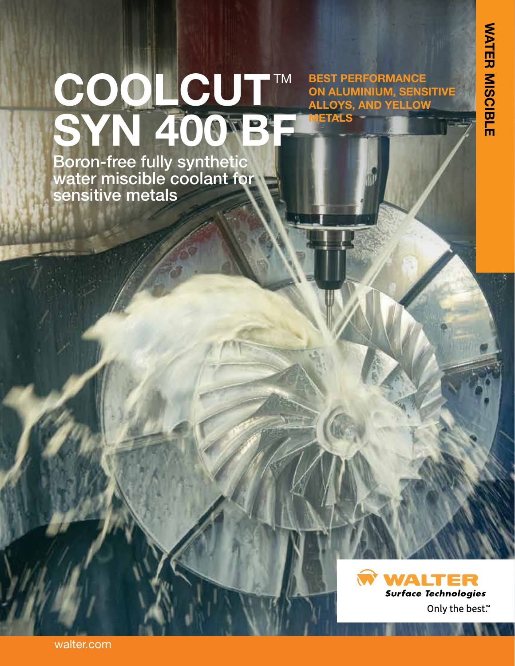## COOLCUT™ **SYN 400 BF BEST PERFORMANCE ON ALUMINIUM, SENSITIVE ALLOYS, AND YELLOW METALS**

Boron-free fully synthetic water miscible coolant for sensitive metals